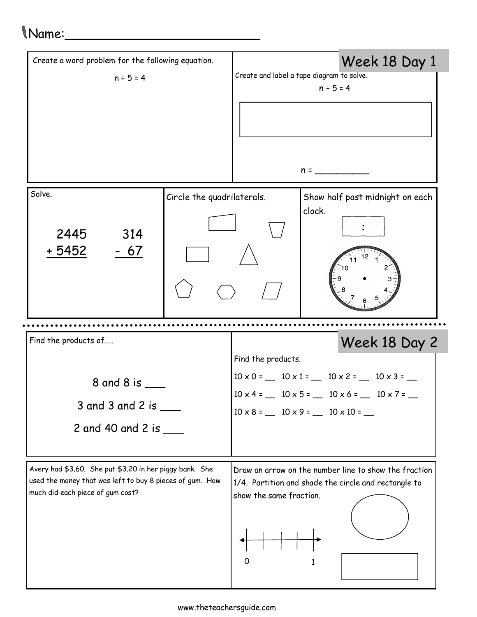## Name:\_\_\_\_\_\_\_\_\_\_\_\_\_\_\_\_\_\_\_\_\_\_\_\_\_

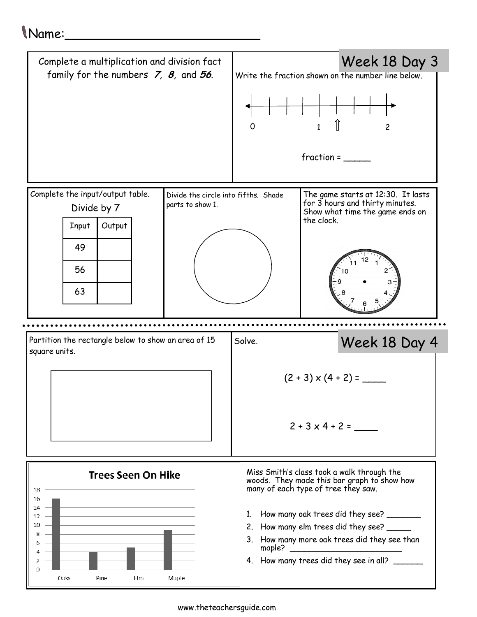## Name:\_\_\_\_\_\_\_\_\_\_\_\_\_\_\_\_\_\_\_\_\_\_\_\_\_